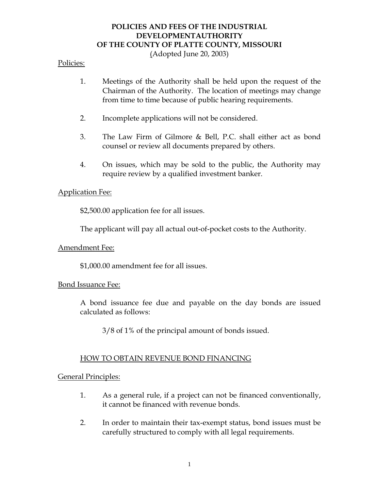# **POLICIES AND FEES OF THE INDUSTRIAL DEVELOPMENTAUTHORITY OF THE COUNTY OF PLATTE COUNTY, MISSOURI**

(Adopted June 20, 2003)

#### Policies:

- 1. Meetings of the Authority shall be held upon the request of the Chairman of the Authority. The location of meetings may change from time to time because of public hearing requirements.
- 2. Incomplete applications will not be considered.
- 3. The Law Firm of Gilmore & Bell, P.C. shall either act as bond counsel or review all documents prepared by others.
- 4. On issues, which may be sold to the public, the Authority may require review by a qualified investment banker.

#### Application Fee:

\$2,500.00 application fee for all issues.

The applicant will pay all actual out-of-pocket costs to the Authority.

#### Amendment Fee:

\$1,000.00 amendment fee for all issues.

#### Bond Issuance Fee:

A bond issuance fee due and payable on the day bonds are issued calculated as follows:

3/8 of 1% of the principal amount of bonds issued.

#### HOW TO OBTAIN REVENUE BOND FINANCING

General Principles:

- 1. As a general rule, if a project can not be financed conventionally, it cannot be financed with revenue bonds.
- 2. In order to maintain their tax-exempt status, bond issues must be carefully structured to comply with all legal requirements.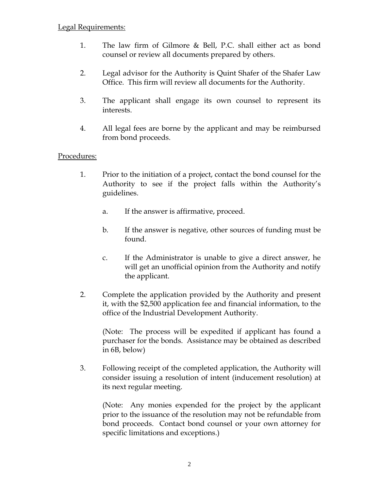- 1. The law firm of Gilmore & Bell, P.C. shall either act as bond counsel or review all documents prepared by others.
- 2. Legal advisor for the Authority is Quint Shafer of the Shafer Law Office. This firm will review all documents for the Authority.
- 3. The applicant shall engage its own counsel to represent its interests.
- 4. All legal fees are borne by the applicant and may be reimbursed from bond proceeds.

## Procedures:

- 1. Prior to the initiation of a project, contact the bond counsel for the Authority to see if the project falls within the Authority's guidelines.
	- a. If the answer is affirmative, proceed.
	- b. If the answer is negative, other sources of funding must be found.
	- c. If the Administrator is unable to give a direct answer, he will get an unofficial opinion from the Authority and notify the applicant.
- 2. Complete the application provided by the Authority and present it, with the \$2,500 application fee and financial information, to the office of the Industrial Development Authority.

(Note: The process will be expedited if applicant has found a purchaser for the bonds. Assistance may be obtained as described in 6B, below)

3. Following receipt of the completed application, the Authority will consider issuing a resolution of intent (inducement resolution) at its next regular meeting.

(Note: Any monies expended for the project by the applicant prior to the issuance of the resolution may not be refundable from bond proceeds. Contact bond counsel or your own attorney for specific limitations and exceptions.)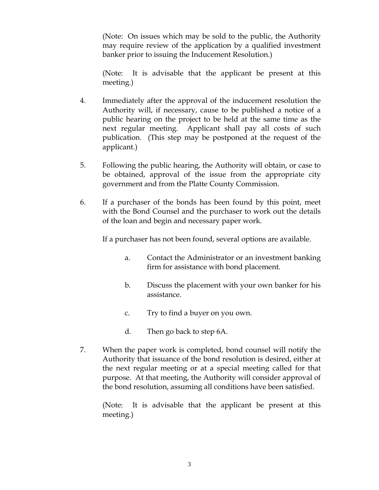(Note: On issues which may be sold to the public, the Authority may require review of the application by a qualified investment banker prior to issuing the Inducement Resolution.)

(Note: It is advisable that the applicant be present at this meeting.)

- 4. Immediately after the approval of the inducement resolution the Authority will, if necessary, cause to be published a notice of a public hearing on the project to be held at the same time as the next regular meeting. Applicant shall pay all costs of such publication. (This step may be postponed at the request of the applicant.)
- 5. Following the public hearing, the Authority will obtain, or case to be obtained, approval of the issue from the appropriate city government and from the Platte County Commission.
- 6. If a purchaser of the bonds has been found by this point, meet with the Bond Counsel and the purchaser to work out the details of the loan and begin and necessary paper work.

If a purchaser has not been found, several options are available.

- a. Contact the Administrator or an investment banking firm for assistance with bond placement.
- b. Discuss the placement with your own banker for his assistance.
- c. Try to find a buyer on you own.
- d. Then go back to step 6A.
- 7. When the paper work is completed, bond counsel will notify the Authority that issuance of the bond resolution is desired, either at the next regular meeting or at a special meeting called for that purpose. At that meeting, the Authority will consider approval of the bond resolution, assuming all conditions have been satisfied.

(Note: It is advisable that the applicant be present at this meeting.)